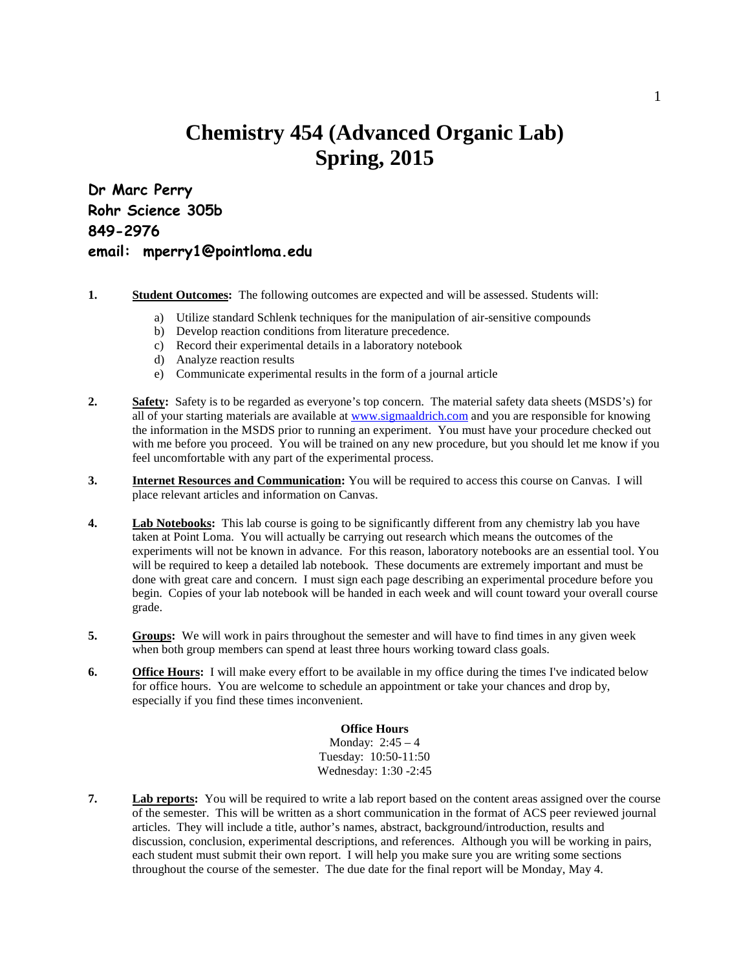## **Chemistry 454 (Advanced Organic Lab) Spring, 2015**

**Dr Marc Perry Rohr Science 305b 849-2976 email: mperry1@pointloma.edu**

- **1. Student Outcomes:** The following outcomes are expected and will be assessed. Students will:
	- a) Utilize standard Schlenk techniques for the manipulation of air-sensitive compounds
		- b) Develop reaction conditions from literature precedence.
		- c) Record their experimental details in a laboratory notebook
		- d) Analyze reaction results
		- e) Communicate experimental results in the form of a journal article
- **2. Safety:** Safety is to be regarded as everyone's top concern. The material safety data sheets (MSDS's) for all of your starting materials are available at [www.sigmaaldrich.com](http://www.sigmaaldrich.com/) and you are responsible for knowing the information in the MSDS prior to running an experiment. You must have your procedure checked out with me before you proceed. You will be trained on any new procedure, but you should let me know if you feel uncomfortable with any part of the experimental process.
- **3. Internet Resources and Communication:** You will be required to access this course on Canvas. I will place relevant articles and information on Canvas.
- **4. Lab Notebooks:** This lab course is going to be significantly different from any chemistry lab you have taken at Point Loma. You will actually be carrying out research which means the outcomes of the experiments will not be known in advance. For this reason, laboratory notebooks are an essential tool. You will be required to keep a detailed lab notebook. These documents are extremely important and must be done with great care and concern. I must sign each page describing an experimental procedure before you begin. Copies of your lab notebook will be handed in each week and will count toward your overall course grade.
- **5. Groups:** We will work in pairs throughout the semester and will have to find times in any given week when both group members can spend at least three hours working toward class goals.
- **6. Office Hours:** I will make every effort to be available in my office during the times I've indicated below for office hours. You are welcome to schedule an appointment or take your chances and drop by, especially if you find these times inconvenient.

## **Office Hours**

Monday: 2:45 – 4 Tuesday: 10:50-11:50 Wednesday: 1:30 -2:45

**7. Lab reports:** You will be required to write a lab report based on the content areas assigned over the course of the semester. This will be written as a short communication in the format of ACS peer reviewed journal articles. They will include a title, author's names, abstract, background/introduction, results and discussion, conclusion, experimental descriptions, and references. Although you will be working in pairs, each student must submit their own report. I will help you make sure you are writing some sections throughout the course of the semester. The due date for the final report will be Monday, May 4.